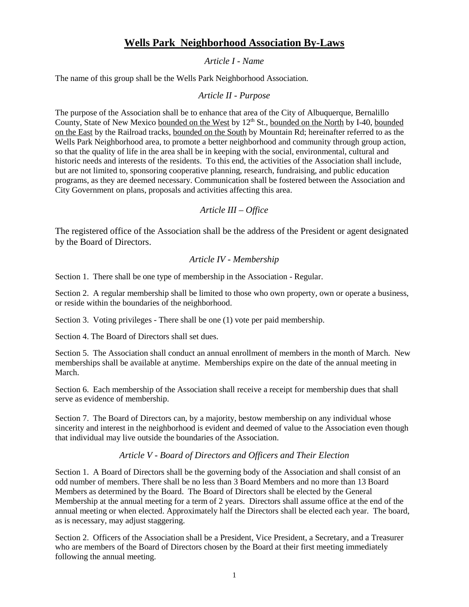# **Wells Park Neighborhood Association By-Laws**

# *Article I - Name*

The name of this group shall be the Wells Park Neighborhood Association.

# *Article II - Purpose*

The purpose of the Association shall be to enhance that area of the City of Albuquerque, Bernalillo County, State of New Mexico bounded on the West by 12<sup>th</sup> St., bounded on the North by I-40, bounded on the East by the Railroad tracks, bounded on the South by Mountain Rd; hereinafter referred to as the Wells Park Neighborhood area, to promote a better neighborhood and community through group action, so that the quality of life in the area shall be in keeping with the social, environmental, cultural and historic needs and interests of the residents. To this end, the activities of the Association shall include, but are not limited to, sponsoring cooperative planning, research, fundraising, and public education programs, as they are deemed necessary. Communication shall be fostered between the Association and City Government on plans, proposals and activities affecting this area.

## *Article III – Office*

The registered office of the Association shall be the address of the President or agent designated by the Board of Directors.

# *Article IV - Membership*

Section 1. There shall be one type of membership in the Association - Regular.

Section 2. A regular membership shall be limited to those who own property, own or operate a business, or reside within the boundaries of the neighborhood.

Section 3. Voting privileges - There shall be one (1) vote per paid membership.

Section 4. The Board of Directors shall set dues.

Section 5. The Association shall conduct an annual enrollment of members in the month of March. New memberships shall be available at anytime. Memberships expire on the date of the annual meeting in March.

Section 6. Each membership of the Association shall receive a receipt for membership dues that shall serve as evidence of membership.

Section 7. The Board of Directors can, by a majority, bestow membership on any individual whose sincerity and interest in the neighborhood is evident and deemed of value to the Association even though that individual may live outside the boundaries of the Association.

## *Article V - Board of Directors and Officers and Their Election*

Section 1. A Board of Directors shall be the governing body of the Association and shall consist of an odd number of members. There shall be no less than 3 Board Members and no more than 13 Board Members as determined by the Board. The Board of Directors shall be elected by the General Membership at the annual meeting for a term of 2 years. Directors shall assume office at the end of the annual meeting or when elected. Approximately half the Directors shall be elected each year. The board, as is necessary, may adjust staggering.

Section 2. Officers of the Association shall be a President, Vice President, a Secretary, and a Treasurer who are members of the Board of Directors chosen by the Board at their first meeting immediately following the annual meeting.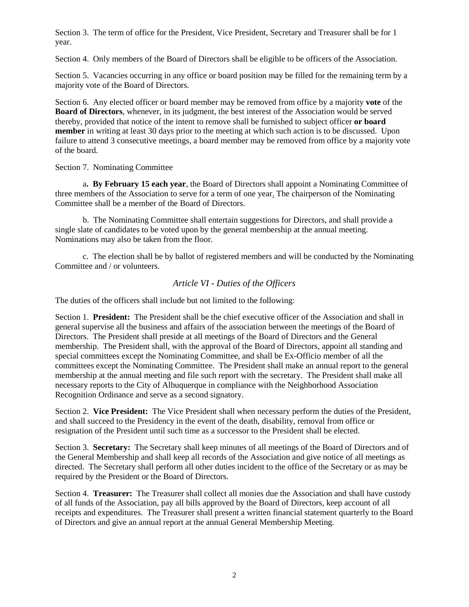Section 3. The term of office for the President, Vice President, Secretary and Treasurer shall be for 1 year.

Section 4. Only members of the Board of Directors shall be eligible to be officers of the Association.

Section 5. Vacancies occurring in any office or board position may be filled for the remaining term by a majority vote of the Board of Directors.

Section 6. Any elected officer or board member may be removed from office by a majority **vote** of the **Board of Directors**, whenever, in its judgment, the best interest of the Association would be served thereby, provided that notice of the intent to remove shall be furnished to subject officer **or board member** in writing at least 30 days prior to the meeting at which such action is to be discussed. Upon failure to attend 3 consecutive meetings, a board member may be removed from office by a majority vote of the board.

Section 7. Nominating Committee

a**. By February 15 each year**, the Board of Directors shall appoint a Nominating Committee of three members of the Association to serve for a term of one year. The chairperson of the Nominating Committee shall be a member of the Board of Directors.

b. The Nominating Committee shall entertain suggestions for Directors, and shall provide a single slate of candidates to be voted upon by the general membership at the annual meeting. Nominations may also be taken from the floor.

c. The election shall be by ballot of registered members and will be conducted by the Nominating Committee and / or volunteers.

#### *Article VI - Duties of the Officers*

The duties of the officers shall include but not limited to the following:

Section 1. **President:** The President shall be the chief executive officer of the Association and shall in general supervise all the business and affairs of the association between the meetings of the Board of Directors. The President shall preside at all meetings of the Board of Directors and the General membership. The President shall, with the approval of the Board of Directors, appoint all standing and special committees except the Nominating Committee, and shall be Ex-Officio member of all the committees except the Nominating Committee. The President shall make an annual report to the general membership at the annual meeting and file such report with the secretary. The President shall make all necessary reports to the City of Albuquerque in compliance with the Neighborhood Association Recognition Ordinance and serve as a second signatory.

Section 2. **Vice President:** The Vice President shall when necessary perform the duties of the President, and shall succeed to the Presidency in the event of the death, disability, removal from office or resignation of the President until such time as a successor to the President shall be elected.

Section 3. **Secretary:** The Secretary shall keep minutes of all meetings of the Board of Directors and of the General Membership and shall keep all records of the Association and give notice of all meetings as directed. The Secretary shall perform all other duties incident to the office of the Secretary or as may be required by the President or the Board of Directors.

Section 4. **Treasurer:** The Treasurer shall collect all monies due the Association and shall have custody of all funds of the Association, pay all bills approved by the Board of Directors, keep account of all receipts and expenditures. The Treasurer shall present a written financial statement quarterly to the Board of Directors and give an annual report at the annual General Membership Meeting.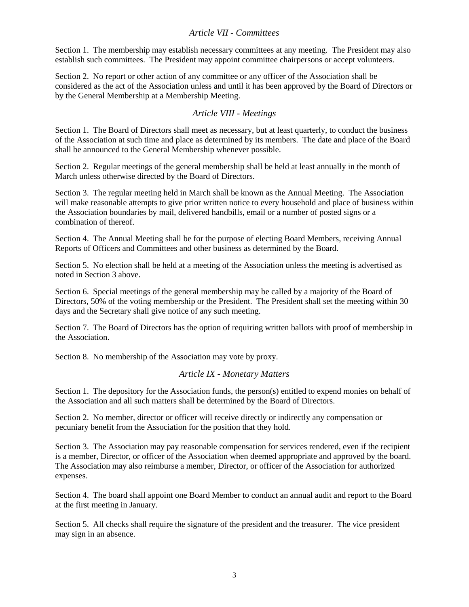#### *Article VII - Committees*

Section 1. The membership may establish necessary committees at any meeting. The President may also establish such committees. The President may appoint committee chairpersons or accept volunteers.

Section 2. No report or other action of any committee or any officer of the Association shall be considered as the act of the Association unless and until it has been approved by the Board of Directors or by the General Membership at a Membership Meeting.

#### *Article VIII - Meetings*

Section 1. The Board of Directors shall meet as necessary, but at least quarterly, to conduct the business of the Association at such time and place as determined by its members. The date and place of the Board shall be announced to the General Membership whenever possible.

Section 2. Regular meetings of the general membership shall be held at least annually in the month of March unless otherwise directed by the Board of Directors.

Section 3. The regular meeting held in March shall be known as the Annual Meeting. The Association will make reasonable attempts to give prior written notice to every household and place of business within the Association boundaries by mail, delivered handbills, email or a number of posted signs or a combination of thereof.

Section 4. The Annual Meeting shall be for the purpose of electing Board Members, receiving Annual Reports of Officers and Committees and other business as determined by the Board.

Section 5. No election shall be held at a meeting of the Association unless the meeting is advertised as noted in Section 3 above.

Section 6. Special meetings of the general membership may be called by a majority of the Board of Directors, 50% of the voting membership or the President. The President shall set the meeting within 30 days and the Secretary shall give notice of any such meeting.

Section 7. The Board of Directors has the option of requiring written ballots with proof of membership in the Association.

Section 8. No membership of the Association may vote by proxy.

#### *Article IX - Monetary Matters*

Section 1. The depository for the Association funds, the person(s) entitled to expend monies on behalf of the Association and all such matters shall be determined by the Board of Directors.

Section 2. No member, director or officer will receive directly or indirectly any compensation or pecuniary benefit from the Association for the position that they hold.

Section 3. The Association may pay reasonable compensation for services rendered, even if the recipient is a member, Director, or officer of the Association when deemed appropriate and approved by the board. The Association may also reimburse a member, Director, or officer of the Association for authorized expenses.

Section 4. The board shall appoint one Board Member to conduct an annual audit and report to the Board at the first meeting in January.

Section 5. All checks shall require the signature of the president and the treasurer. The vice president may sign in an absence.